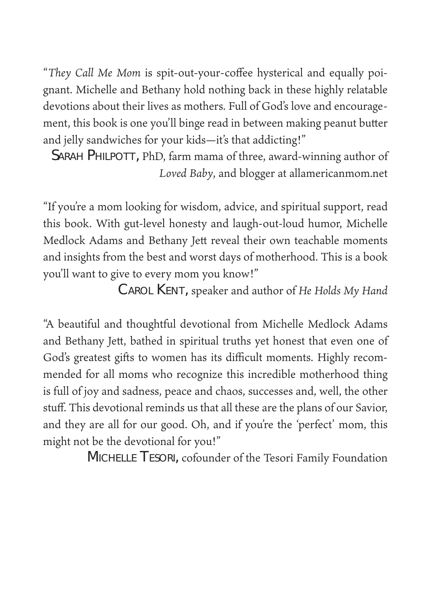"*They Call Me Mom* is spit-out-your-coffee hysterical and equally poignant. Michelle and Bethany hold nothing back in these highly relatable devotions about their lives as mothers. Full of God's love and encouragement, this book is one you'll binge read in between making peanut butter and jelly sandwiches for your kids—it's that addicting!"

SARAH PHILPOTT, PhD, farm mama of three, award-winning author of *Loved Baby*, and blogger at allamericanmom.net

"If you're a mom looking for wisdom, advice, and spiritual support, read this book. With gut-level honesty and laugh-out-loud humor, Michelle Medlock Adams and Bethany Jett reveal their own teachable moments and insights from the best and worst days of motherhood. This is a book you'll want to give to every mom you know!"

Carol Kent, speaker and author of *He Holds My Hand*

"A beautiful and thoughtful devotional from Michelle Medlock Adams and Bethany Jett, bathed in spiritual truths yet honest that even one of God's greatest gifts to women has its difficult moments. Highly recommended for all moms who recognize this incredible motherhood thing is full of joy and sadness, peace and chaos, successes and, well, the other stuff. This devotional reminds us that all these are the plans of our Savior, and they are all for our good. Oh, and if you're the 'perfect' mom, this might not be the devotional for you!"

Michelle Tesori, cofounder of the Tesori Family Foundation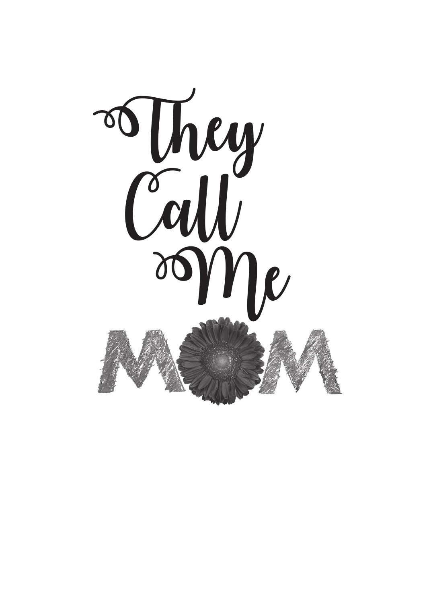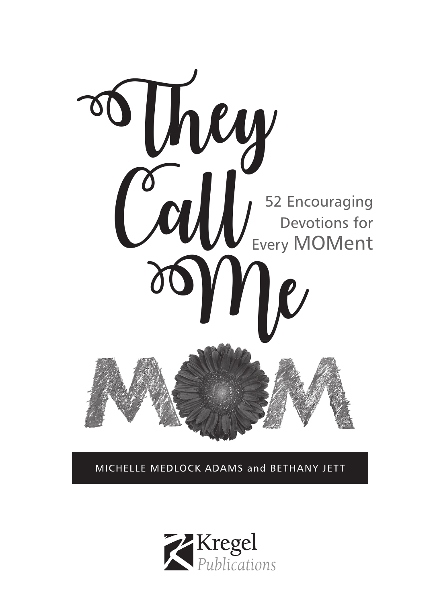

MICHELLE MEDLOCK ADAMS and BETHANY JETT

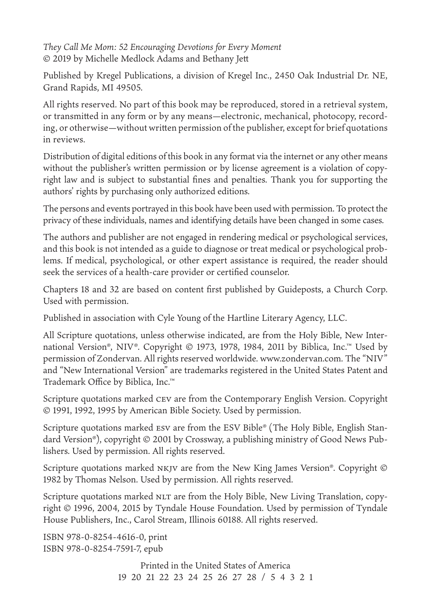*They Call Me Mom: 52 Encouraging Devotions for Every Moment*  © 2019 by Michelle Medlock Adams and Bethany Jett

Published by Kregel Publications, a division of Kregel Inc., 2450 Oak Industrial Dr. NE, Grand Rapids, MI 49505.

All rights reserved. No part of this book may be reproduced, stored in a retrieval system, or transmitted in any form or by any means—electronic, mechanical, photocopy, recording, or otherwise—without written permission of the publisher, except for brief quotations in reviews.

Distribution of digital editions of this book in any format via the internet or any other means without the publisher's written permission or by license agreement is a violation of copyright law and is subject to substantial fines and penalties. Thank you for supporting the authors' rights by purchasing only authorized editions.

The persons and events portrayed in this book have been used with permission. To protect the privacy of these individuals, names and identifying details have been changed in some cases.

The authors and publisher are not engaged in rendering medical or psychological services, and this book is not intended as a guide to diagnose or treat medical or psychological problems. If medical, psychological, or other expert assistance is required, the reader should seek the services of a health-care provider or certified counselor.

Chapters 18 and 32 are based on content first published by Guideposts, a Church Corp. Used with permission.

Published in association with Cyle Young of the Hartline Literary Agency, LLC.

All Scripture quotations, unless otherwise indicated, are from the Holy Bible, New International Version®, NIV®. Copyright © 1973, 1978, 1984, 2011 by Biblica, Inc.™ Used by permission of Zondervan. All rights reserved worldwide. www.zondervan.com. The "NIV" and "New International Version" are trademarks registered in the United States Patent and Trademark Office by Biblica, Inc.™

Scripture quotations marked cev are from the Contemporary English Version. Copyright © 1991, 1992, 1995 by American Bible Society. Used by permission.

Scripture quotations marked esv are from the ESV Bible® (The Holy Bible, English Standard Version®), copyright © 2001 by Crossway, a publishing ministry of Good News Publishers. Used by permission. All rights reserved.

Scripture quotations marked NKJV are from the New King James Version®. Copyright © 1982 by Thomas Nelson. Used by permission. All rights reserved.

Scripture quotations marked NLT are from the Holy Bible, New Living Translation, copyright © 1996, 2004, 2015 by Tyndale House Foundation. Used by permission of Tyndale House Publishers, Inc., Carol Stream, Illinois 60188. All rights reserved.

ISBN 978-0-8254-4616-0, print ISBN 978-0-8254-7591-7, epub

> Printed in the United States of America 19 20 21 22 23 24 25 26 27 28 / 5 4 3 2 1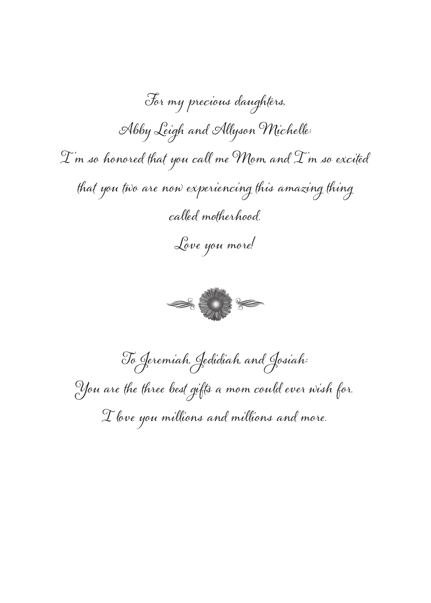For my precious daughters, Abby Leigh and Allyson Michelle:  $\mathcal{I}$  m so honored that you call me Mom, and  $\mathcal{I}$  m so excited that you two are now experiencing this amazing thing called motherhood. Love you more!



To Jeremiah, Jedidiah, and Josiah: You are the three best gifts a mom could ever wish for.  ${\mathcal I}$  love you millions and millions and more.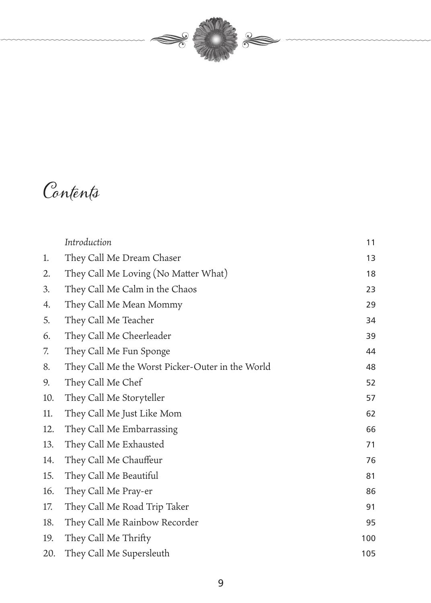

## Contents

|     | Introduction                                     | 11  |
|-----|--------------------------------------------------|-----|
| 1.  | They Call Me Dream Chaser                        | 13  |
| 2.  | They Call Me Loving (No Matter What)             | 18  |
| 3.  | They Call Me Calm in the Chaos                   | 23  |
| 4.  | They Call Me Mean Mommy                          | 29  |
| 5.  | They Call Me Teacher                             | 34  |
| 6.  | They Call Me Cheerleader                         | 39  |
| 7.  | They Call Me Fun Sponge                          | 44  |
| 8.  | They Call Me the Worst Picker-Outer in the World | 48  |
| 9.  | They Call Me Chef                                | 52  |
| 10. | They Call Me Storyteller                         | 57  |
| 11. | They Call Me Just Like Mom                       | 62  |
| 12. | They Call Me Embarrassing                        | 66  |
| 13. | They Call Me Exhausted                           | 71  |
| 14. | They Call Me Chauffeur                           | 76  |
| 15. | They Call Me Beautiful                           | 81  |
| 16. | They Call Me Pray-er                             | 86  |
| 17. | They Call Me Road Trip Taker                     | 91  |
| 18. | They Call Me Rainbow Recorder                    | 95  |
| 19. | They Call Me Thrifty                             | 100 |
| 20. | They Call Me Supersleuth                         | 105 |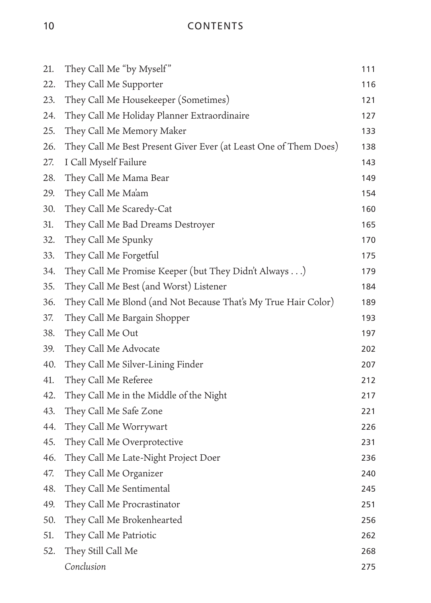10 CONTENTS

| 21. | They Call Me "by Myself"                                         | 111 |
|-----|------------------------------------------------------------------|-----|
| 22. | They Call Me Supporter                                           | 116 |
| 23. | They Call Me Housekeeper (Sometimes)                             | 121 |
| 24. | They Call Me Holiday Planner Extraordinaire                      | 127 |
| 25. | They Call Me Memory Maker                                        | 133 |
| 26. | They Call Me Best Present Giver Ever (at Least One of Them Does) | 138 |
| 27. | I Call Myself Failure                                            | 143 |
| 28. | They Call Me Mama Bear                                           | 149 |
| 29. | They Call Me Ma'am                                               | 154 |
| 30. | They Call Me Scaredy-Cat                                         | 160 |
| 31. | They Call Me Bad Dreams Destroyer                                | 165 |
| 32. | They Call Me Spunky                                              | 170 |
| 33. | They Call Me Forgetful                                           | 175 |
| 34. | They Call Me Promise Keeper (but They Didn't Always)             | 179 |
| 35. | They Call Me Best (and Worst) Listener                           | 184 |
| 36. | They Call Me Blond (and Not Because That's My True Hair Color)   | 189 |
| 37. | They Call Me Bargain Shopper                                     | 193 |
| 38. | They Call Me Out                                                 | 197 |
| 39. | They Call Me Advocate                                            | 202 |
| 40. | They Call Me Silver-Lining Finder                                | 207 |
| 41. | They Call Me Referee                                             | 212 |
| 42. | They Call Me in the Middle of the Night                          | 217 |
| 43. | They Call Me Safe Zone                                           | 221 |
| 44. | They Call Me Worrywart                                           | 226 |
| 45. | They Call Me Overprotective                                      | 231 |
| 46. | They Call Me Late-Night Project Doer                             | 236 |
| 47. | They Call Me Organizer                                           | 240 |
| 48. | They Call Me Sentimental                                         | 245 |
| 49. | They Call Me Procrastinator                                      | 251 |
| 50. | They Call Me Brokenhearted                                       | 256 |
| 51. | They Call Me Patriotic                                           | 262 |
| 52. | They Still Call Me                                               | 268 |
|     | Conclusion                                                       | 275 |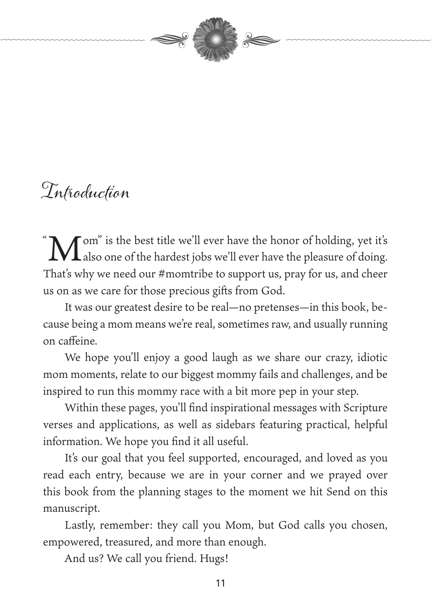

### Introduction

 $\mathfrak{a}$ Tom" is the best title we'll ever have the honor of holding, yet it's  $\blacksquare$  also one of the hardest jobs we'll ever have the pleasure of doing. That's why we need our #momtribe to support us, pray for us, and cheer us on as we care for those precious gifts from God.

It was our greatest desire to be real—no pretenses—in this book, because being a mom means we're real, sometimes raw, and usually running on caffeine.

We hope you'll enjoy a good laugh as we share our crazy, idiotic mom moments, relate to our biggest mommy fails and challenges, and be inspired to run this mommy race with a bit more pep in your step.

Within these pages, you'll find inspirational messages with Scripture verses and applications, as well as sidebars featuring practical, helpful information. We hope you find it all useful.

It's our goal that you feel supported, encouraged, and loved as you read each entry, because we are in your corner and we prayed over this book from the planning stages to the moment we hit Send on this manuscript.

Lastly, remember: they call you Mom, but God calls you chosen, empowered, treasured, and more than enough.

And us? We call you friend. Hugs!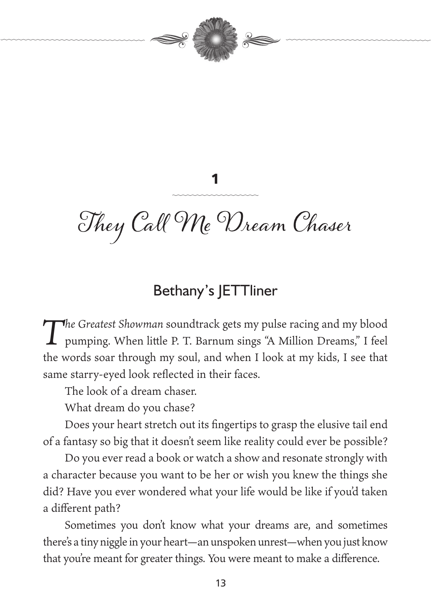

# They Call Me Dream Chaser

1

#### Bethany's JETTliner

*The Greatest Showman* soundtrack gets my pulse racing and my blood pumping. When little P. T. Barnum sings "A Million Dreams," I feel the words soar through my soul, and when I look at my kids, I see that same starry-eyed look reflected in their faces.

The look of a dream chaser.

What dream do you chase?

Does your heart stretch out its fingertips to grasp the elusive tail end of a fantasy so big that it doesn't seem like reality could ever be possible?

Do you ever read a book or watch a show and resonate strongly with a character because you want to be her or wish you knew the things she did? Have you ever wondered what your life would be like if you'd taken a different path?

Sometimes you don't know what your dreams are, and sometimes there's a tiny niggle in your heart—an unspoken unrest—when you just know that you're meant for greater things. You were meant to make a difference.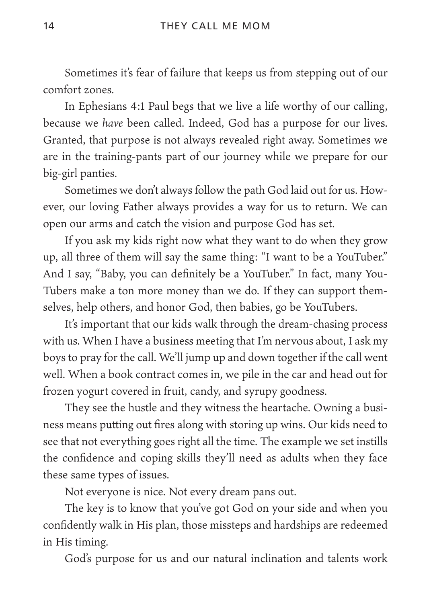Sometimes it's fear of failure that keeps us from stepping out of our comfort zones.

In Ephesians 4:1 Paul begs that we live a life worthy of our calling, because we *have* been called. Indeed, God has a purpose for our lives. Granted, that purpose is not always revealed right away. Sometimes we are in the training-pants part of our journey while we prepare for our big-girl panties.

Sometimes we don't always follow the path God laid out for us. However, our loving Father always provides a way for us to return. We can open our arms and catch the vision and purpose God has set.

If you ask my kids right now what they want to do when they grow up, all three of them will say the same thing: "I want to be a YouTuber." And I say, "Baby, you can definitely be a YouTuber." In fact, many You-Tubers make a ton more money than we do. If they can support themselves, help others, and honor God, then babies, go be YouTubers.

It's important that our kids walk through the dream-chasing process with us. When I have a business meeting that I'm nervous about, I ask my boys to pray for the call. We'll jump up and down together if the call went well. When a book contract comes in, we pile in the car and head out for frozen yogurt covered in fruit, candy, and syrupy goodness.

They see the hustle and they witness the heartache. Owning a business means putting out fires along with storing up wins. Our kids need to see that not everything goes right all the time. The example we set instills the confidence and coping skills they'll need as adults when they face these same types of issues.

Not everyone is nice. Not every dream pans out.

The key is to know that you've got God on your side and when you confidently walk in His plan, those missteps and hardships are redeemed in His timing.

God's purpose for us and our natural inclination and talents work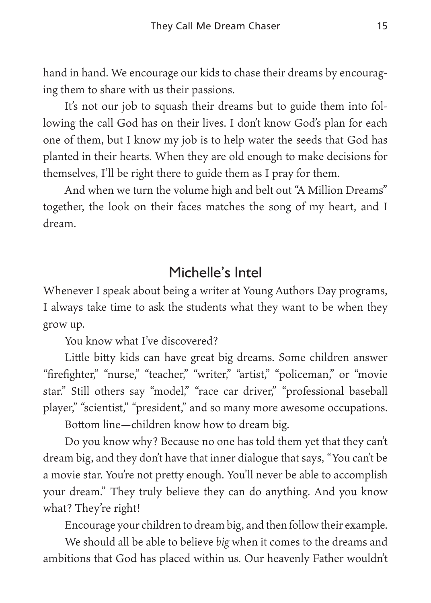hand in hand. We encourage our kids to chase their dreams by encouraging them to share with us their passions.

It's not our job to squash their dreams but to guide them into following the call God has on their lives. I don't know God's plan for each one of them, but I know my job is to help water the seeds that God has planted in their hearts. When they are old enough to make decisions for themselves, I'll be right there to guide them as I pray for them.

And when we turn the volume high and belt out "A Million Dreams" together, the look on their faces matches the song of my heart, and I dream.

#### Michelle's Intel

Whenever I speak about being a writer at Young Authors Day programs, I always take time to ask the students what they want to be when they grow up.

You know what I've discovered?

Little bitty kids can have great big dreams. Some children answer "firefighter," "nurse," "teacher," "writer," "artist," "policeman," or "movie star." Still others say "model," "race car driver," "professional baseball player," "scientist," "president," and so many more awesome occupations.

Bottom line—children know how to dream big.

Do you know why? Because no one has told them yet that they can't dream big, and they don't have that inner dialogue that says, "You can't be a movie star. You're not pretty enough. You'll never be able to accomplish your dream." They truly believe they can do anything. And you know what? They're right!

Encourage your children to dream big, and then follow their example.

We should all be able to believe *big* when it comes to the dreams and ambitions that God has placed within us. Our heavenly Father wouldn't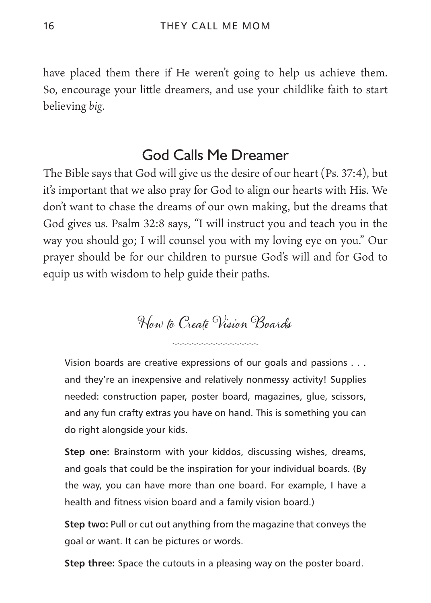have placed them there if He weren't going to help us achieve them. So, encourage your little dreamers, and use your childlike faith to start believing *big*.

#### God Calls Me Dreamer

The Bible says that God will give us the desire of our heart (Ps. 37:4), but it's important that we also pray for God to align our hearts with His. We don't want to chase the dreams of our own making, but the dreams that God gives us. Psalm 32:8 says, "I will instruct you and teach you in the way you should go; I will counsel you with my loving eye on you." Our prayer should be for our children to pursue God's will and for God to equip us with wisdom to help guide their paths.

How to Create Vision Boards

Vision boards are creative expressions of our goals and passions . . . and they're an inexpensive and relatively nonmessy activity! Supplies needed: construction paper, poster board, magazines, glue, scissors, and any fun crafty extras you have on hand. This is something you can do right alongside your kids.

**Step one:** Brainstorm with your kiddos, discussing wishes, dreams, and goals that could be the inspiration for your individual boards. (By the way, you can have more than one board. For example, I have a health and fitness vision board and a family vision board.)

**Step two:** Pull or cut out anything from the magazine that conveys the goal or want. It can be pictures or words.

**Step three:** Space the cutouts in a pleasing way on the poster board.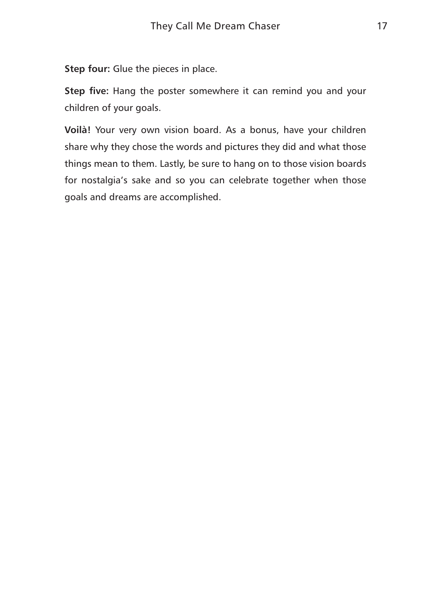**Step four:** Glue the pieces in place.

**Step five:** Hang the poster somewhere it can remind you and your children of your goals.

**Voilà!** Your very own vision board. As a bonus, have your children share why they chose the words and pictures they did and what those things mean to them. Lastly, be sure to hang on to those vision boards for nostalgia's sake and so you can celebrate together when those goals and dreams are accomplished.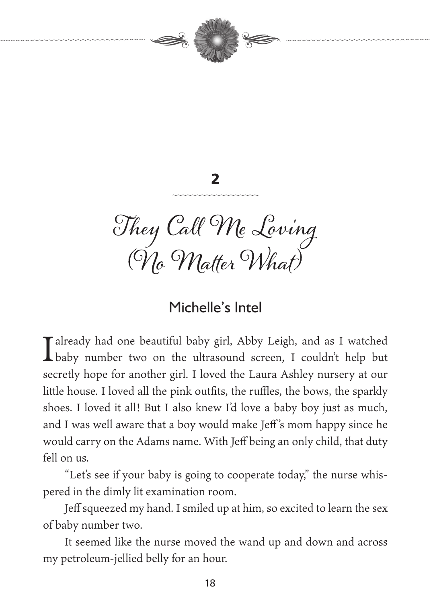



They Call Me Loving (Vlo VNatter Wh*at)* 

#### Michelle's Intel

Talready had one beautiful baby girl, Abby Leigh, and as I watched **L** baby number two on the ultrasound screen, I couldn't help but secretly hope for another girl. I loved the Laura Ashley nursery at our little house. I loved all the pink outfits, the ruffles, the bows, the sparkly shoes. I loved it all! But I also knew I'd love a baby boy just as much, and I was well aware that a boy would make Jeff 's mom happy since he would carry on the Adams name. With Jeff being an only child, that duty fell on us.

"Let's see if your baby is going to cooperate today," the nurse whispered in the dimly lit examination room.

Jeff squeezed my hand. I smiled up at him, so excited to learn the sex of baby number two.

It seemed like the nurse moved the wand up and down and across my petroleum- jellied belly for an hour.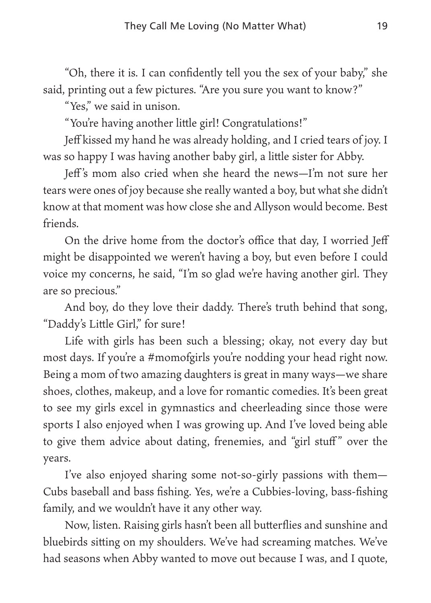"Oh, there it is. I can confidently tell you the sex of your baby," she said, printing out a few pictures. "Are you sure you want to know?"

"Yes," we said in unison.

"You're having another little girl! Congratulations!"

Jeff kissed my hand he was already holding, and I cried tears of joy. I was so happy I was having another baby girl, a little sister for Abby.

Jeff 's mom also cried when she heard the news—I'm not sure her tears were ones of joy because she really wanted a boy, but what she didn't know at that moment was how close she and Allyson would become. Best friends.

On the drive home from the doctor's office that day, I worried Jeff might be disappointed we weren't having a boy, but even before I could voice my concerns, he said, "I'm so glad we're having another girl. They are so precious."

And boy, do they love their daddy. There's truth behind that song, "Daddy's Little Girl," for sure!

Life with girls has been such a blessing; okay, not every day but most days. If you're a #momofgirls you're nodding your head right now. Being a mom of two amazing daughters is great in many ways—we share shoes, clothes, makeup, and a love for romantic comedies. It's been great to see my girls excel in gymnastics and cheerleading since those were sports I also enjoyed when I was growing up. And I've loved being able to give them advice about dating, frenemies, and "girl stuff" over the years.

I've also enjoyed sharing some not-so-girly passions with them— Cubs baseball and bass fishing. Yes, we're a Cubbies-loving, bass-fishing family, and we wouldn't have it any other way.

Now, listen. Raising girls hasn't been all butterflies and sunshine and bluebirds sitting on my shoulders. We've had screaming matches. We've had seasons when Abby wanted to move out because I was, and I quote,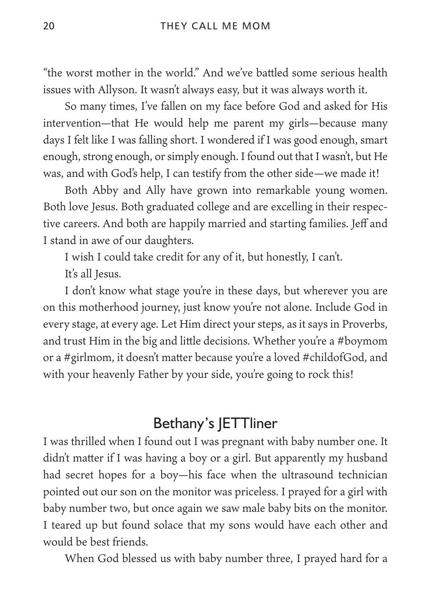"the worst mother in the world." And we've battled some serious health issues with Allyson. It wasn't always easy, but it was always worth it.

So many times, I've fallen on my face before God and asked for His intervention—that He would help me parent my girls—because many days I felt like I was falling short. I wondered if I was good enough, smart enough, strong enough, or simply enough. I found out that I wasn't, but He was, and with God's help, I can testify from the other side—we made it!

Both Abby and Ally have grown into remarkable young women. Both love Jesus. Both graduated college and are excelling in their respective careers. And both are happily married and starting families. Jeff and I stand in awe of our daughters.

I wish I could take credit for any of it, but honestly, I can't.

It's all Jesus.

I don't know what stage you're in these days, but wherever you are on this motherhood journey, just know you're not alone. Include God in every stage, at every age. Let Him direct your steps, as it says in Proverbs, and trust Him in the big and little decisions. Whether you're a #boymom or a #girlmom, it doesn't matter because you're a loved #childofGod, and with your heavenly Father by your side, you're going to rock this!

#### Bethany's JETTliner

I was thrilled when I found out I was pregnant with baby number one. It didn't matter if I was having a boy or a girl. But apparently my husband had secret hopes for a boy—his face when the ultrasound technician pointed out our son on the monitor was priceless. I prayed for a girl with baby number two, but once again we saw male baby bits on the monitor. I teared up but found solace that my sons would have each other and would be best friends.

When God blessed us with baby number three, I prayed hard for a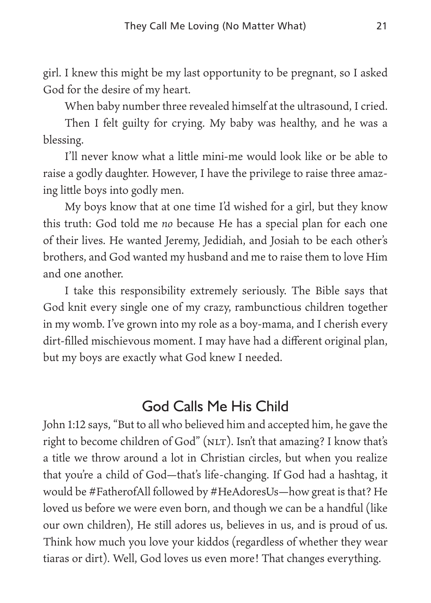girl. I knew this might be my last opportunity to be pregnant, so I asked God for the desire of my heart.

When baby number three revealed himself at the ultrasound, I cried.

Then I felt guilty for crying. My baby was healthy, and he was a blessing.

I'll never know what a little mini-me would look like or be able to raise a godly daughter. However, I have the privilege to raise three amazing little boys into godly men.

My boys know that at one time I'd wished for a girl, but they know this truth: God told me *no* because He has a special plan for each one of their lives. He wanted Jeremy, Jedidiah, and Josiah to be each other's brothers, and God wanted my husband and me to raise them to love Him and one another.

I take this responsibility extremely seriously. The Bible says that God knit every single one of my crazy, rambunctious children together in my womb. I've grown into my role as a boy-mama, and I cherish every dirt-filled mischievous moment. I may have had a different original plan, but my boys are exactly what God knew I needed.

#### God Calls Me His Child

John 1:12 says, "But to all who believed him and accepted him, he gave the right to become children of God" (NLT). Isn't that amazing? I know that's a title we throw around a lot in Christian circles, but when you realize that you're a child of God—that's life-changing. If God had a hashtag, it would be #FatherofAll followed by #HeAdoresUs—how great is that? He loved us before we were even born, and though we can be a handful (like our own children), He still adores us, believes in us, and is proud of us. Think how much you love your kiddos (regardless of whether they wear tiaras or dirt). Well, God loves us even more! That changes everything.